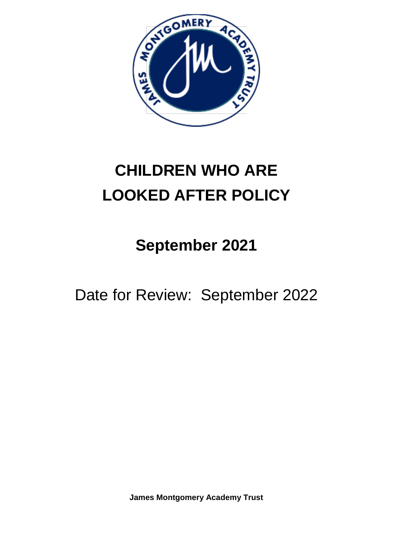

# **CHILDREN WHO ARE LOOKED AFTER POLICY**

# **September 2021**

Date for Review: September 2022

**James Montgomery Academy Trust**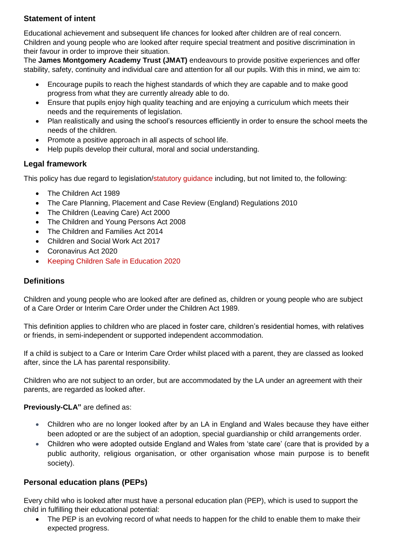## **Statement of intent**

Educational achievement and subsequent life chances for looked after children are of real concern. Children and young people who are looked after require special treatment and positive discrimination in their favour in order to improve their situation.

The **James Montgomery Academy Trust (JMAT)** endeavours to provide positive experiences and offer stability, safety, continuity and individual care and attention for all our pupils. With this in mind, we aim to:

- Encourage pupils to reach the highest standards of which they are capable and to make good progress from what they are currently already able to do.
- Ensure that pupils enjoy high quality teaching and are enjoying a curriculum which meets their needs and the requirements of legislation.
- Plan realistically and using the school's resources efficiently in order to ensure the school meets the needs of the children.
- Promote a positive approach in all aspects of school life.
- Help pupils develop their cultural, moral and social understanding.

## **Legal framework**

This policy has due regard to legislation/statutory guidance including, but not limited to, the following:

- The Children Act 1989
- The Care Planning, Placement and Case Review (England) Regulations 2010
- The Children (Leaving Care) Act 2000
- The Children and Young Persons Act 2008
- The Children and Families Act 2014
- Children and Social Work Act 2017
- Coronavirus Act 2020
- Keeping Children Safe in Education 2020

#### **Definitions**

Children and young people who are looked after are defined as, children or young people who are subject of a Care Order or Interim Care Order under the Children Act 1989.

This definition applies to children who are placed in foster care, children's residential homes, with relatives or friends, in semi-independent or supported independent accommodation.

If a child is subject to a Care or Interim Care Order whilst placed with a parent, they are classed as looked after, since the LA has parental responsibility.

Children who are not subject to an order, but are accommodated by the LA under an agreement with their parents, are regarded as looked after.

#### **Previously-CLA"** are defined as:

- Children who are no longer looked after by an LA in England and Wales because they have either been adopted or are the subject of an adoption, special guardianship or child arrangements order.
- Children who were adopted outside England and Wales from 'state care' (care that is provided by a public authority, religious organisation, or other organisation whose main purpose is to benefit society).

#### **Personal education plans (PEPs)**

Every child who is looked after must have a personal education plan (PEP), which is used to support the child in fulfilling their educational potential:

 The PEP is an evolving record of what needs to happen for the child to enable them to make their expected progress.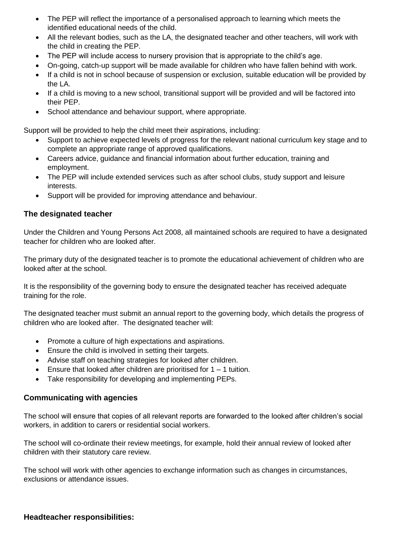- The PEP will reflect the importance of a personalised approach to learning which meets the identified educational needs of the child.
- All the relevant bodies, such as the LA, the designated teacher and other teachers, will work with the child in creating the PEP.
- The PEP will include access to nursery provision that is appropriate to the child's age.
- On-going, catch-up support will be made available for children who have fallen behind with work.
- If a child is not in school because of suspension or exclusion, suitable education will be provided by the LA.
- If a child is moving to a new school, transitional support will be provided and will be factored into their PEP.
- School attendance and behaviour support, where appropriate.

Support will be provided to help the child meet their aspirations, including:

- Support to achieve expected levels of progress for the relevant national curriculum key stage and to complete an appropriate range of approved qualifications.
- Careers advice, guidance and financial information about further education, training and employment.
- The PEP will include extended services such as after school clubs, study support and leisure interests.
- Support will be provided for improving attendance and behaviour.

#### **The designated teacher**

Under the Children and Young Persons Act 2008, all maintained schools are required to have a designated teacher for children who are looked after.

The primary duty of the designated teacher is to promote the educational achievement of children who are looked after at the school.

It is the responsibility of the governing body to ensure the designated teacher has received adequate training for the role.

The designated teacher must submit an annual report to the governing body, which details the progress of children who are looked after. The designated teacher will:

- Promote a culture of high expectations and aspirations.
- Ensure the child is involved in setting their targets.
- Advise staff on teaching strategies for looked after children.
- **Ensure that looked after children are prioritised for 1 1 tuition.**
- Take responsibility for developing and implementing PEPs.

#### **Communicating with agencies**

The school will ensure that copies of all relevant reports are forwarded to the looked after children's social workers, in addition to carers or residential social workers.

The school will co-ordinate their review meetings, for example, hold their annual review of looked after children with their statutory care review.

The school will work with other agencies to exchange information such as changes in circumstances, exclusions or attendance issues.